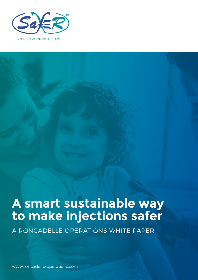

# **A smart sustainable way to make injections safer**

A RONCADELLE OPERATIONS WHITE PAPER

www.roncadelle-operations.com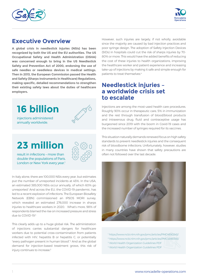



## **Executive Overview**

**A global crisis in needlestick injuries (NSIs) has been recognized by both the US and the EU authorities. The US Occupational Safety and Health Administration (OSHA) was concerned enough to bring in the US Needlestick Safety and Prevention Act of 2000, endorsing the use of safe needles or needleless devices in medical settings. Then in 2013, the European Commission passed the Health and Safety (Sharps Instruments in Healthcare) Regulations, making specific, detailed recommendations to strengthen their existing safety laws about the duties of healthcare employers.**



**23 million**



result in infections – more than double the populations of Paris, London or New York every year.<sup>1</sup>

In Italy alone, there are 100,000 NSIs every year, but estimates put the number of unreported incidents at 45%. In the USA, an estimated 385,000 NSIs occur annually, of which 60% go unreported.1 And across the EU, the COVID-19 pandemic, has led to a recent explosion of infections. The European Biosafety Network (EBN) commissioned an IPSOS MORI survey, which revealed an estimated 276,000 increase in sharps injuries to healthcare workers in 2020. What's more, 98% of respondents blamed the rise on increased pressure and stress due to COVID-19.3

This clearly adds up to a huge global risk. The administration of injections carries substantial dangers for healthcare workers due to potential cross-contamination from patients infected with HIV, hepatitis B or hepatitis C, or potentially "every pathogen present in human blood".2 And as the global demand for injection-based treatment grows, this risk of injury continues to increase.<sup>3</sup>

However, such injuries are largely, if not wholly, avoidable since the majority are caused by bad injection practices and poor syringe design. The adoption of Safety Injection Devices (SIDs) in hospitals could cut the risk of sharps injuries by 70- 80% or more. This would have the added benefits of reducing the cost of these injuries to health organizations, improving the healthcare worker and patient experience and increasing take-up of injections by making it safe and simple enough for patients to treat themselves.<sup>4</sup>

## **Needlestick injuries – a worldwide crisis set to escalate**

Injections are among the most-used health care procedures. Roughly 90% occur in therapeutic care, 5% in immunization and the rest through transfusion of blood/blood products and intravenous drug, fluid and contraceptive usage has burgeoned since 2019 with the boom in Covid-19 cases and the increased number of syringes required for its vaccines.

This situation naturally demands renewed focus on high safety standards to prevent needlestick injuries and the consequent risk of bloodborne infections. Unfortunately, however, studies in many countries have shown that safety precautions are often not followed over the last decade.



1 https://www.ncbi.nlm.nih.gov/pmc/articles/PMC4890345/

- 2 https://www.ncbi.nlm.nih.gov/pmc/articles/PMC4890345/
- 3 World Health Organization Guidelines PDF
- 4 World Health Organization Guidelines PDF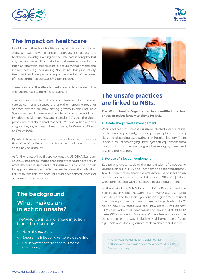



## **The impact on healthcare**

In addition to the direct health risk to patients and healthcare workers, NSIs have financial repercussions across the healthcare industry. Gaining an accurate cost is complex, but a systematic review 6 of 11 studies that assessed direct costs (such as laboratory testing, post-exposure management) and indirect costs (e.g., counselling NSI victims, lost productivity, treatment, and compensation), put the median of the mean of these combined costs at \$747 per incident.

These costs, and the attendant risks, are set to escalate in line with the increasing demand for syringes.

The growing burden of chronic diseases like diabetes, cancer, hormonal diseases, etc. and the increasing need for self-care devices are now driving growth in the Prefillable Syringe market. For example, the international journal Clinical Practice and Diabetes Research stated in 2019 that the global prevalence of diabetes had reached 9.3% (463 million people), a figure they say is likely to keep growing to 25% in 2030 and to 51% by 2045.

By which time, with one in two people living with diabetes, the safety of self-injection by the patient will have become absolutely paramount.

As for the safety of healthcare workers, the US OSHA Standard 1910.1030 has already stated that employees must have a say in what devices are used and that instruments must be chosen for appropriateness and effectiveness in preventing infection. Failure to take this into account could have consequences for organizations in the future. 7

## **The background** What makes an injection unsafe?

The WHO definition of a "safe injection" is one that does not:

- Harm the recipient.  $\bigcirc$
- $\varphi$ Expose the injection giver to avoidable risk.
- Cause waste that is dangerous for the community.



## **The unsafe practices are linked to NSIs.**

**The World Health Organization has identified the four critical practices largely to blame for NSIs.**

#### 1. Unsafe sharps waste management

Poor practices that increase risks from infected sharps include: not incinerating properly, disposing in open pits or dumping sites and discarding used syringes in hospital laundry. There is also a risk of scavenging used injection equipment from rubbish dumps, then washing and repackaging them and reselling them as new.

#### 2. Re-use of injection equipment

Equipment re-use leads to the transmission of bloodborne viruses such as HIV, HBV and HCV from one patient to another. A WHO literature review on the worldwide use of injections in health care settings estimated that up to 75% of injections were administered with unsterilized re-used equipment.

At the start of the WHO Injection Safety Program and the Safe Injection Global Network (SIGN), WHO also estimated that 40% of the 16 billion injections were given with re-used injection equipment in health care settings, leading to 21 million new HBV cases (32% of all new cases), 2 million new HCV cases (40% of all new cases) and around 260 000 HIV cases (5% of all new HIV cases). Other diseases can also be transmitted in this way, including viral hemorrhagic fevers, e.g., Ebola and Marburg viruses, malaria and other diseases.

- 5 World Health Organization Guidelines PDF
- 6 https://www.ncbi.nlm.nih.gov/pmc/articles/PMC4890345/
- 7 Saia et al. (2010)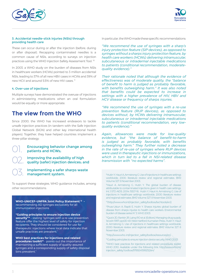



#### 3. Accidental needle-stick injuries (NSIs) through providing health care

These can occur during or after the injection (before, during or after disposal). Recapping contaminated needles is a common cause of NSIs, according to surveys on injection practices using the WHO Injection Safety Assessment Tool. 10

In 2003, a WHO study on the burden of diseases from NSIs in healthcare workers (HCWs) pointed to 3 million accidental NSIs, leading to 37% of all new HBV cases in HCWs and 39% of new HCV and around 5.5% of new HIV cases.<sup>11</sup>

#### 4. Over-use of injections

Multiple surveys have demonstrated the overuse of injections in administering medications when an oral formulation would be equally or more appropriate.

## **The view from the WHO**

Since 2000, the WHO has increased endeavors to tackle unsafe injection practices (in tandem with the Safe Injection Global Network (SIGN) and other key international health players). Together, they have helped countries implement a three-pillar strategy:



#### Encouraging behavior change among patients and HCWs;

Improving the availability of high quality (safer) injection devices; and

Implementing a safer sharps waste management system. 03.

To support these strategies, WHO guidance includes, among other recommendations:

**WHO-UNICEF-UNFPA Joint Policy Statement 13** recommending AD syringes exclusively for all immunization injections

**"Guiding principles to ensure injection device**  security<sup>"14</sup> - stating "syringes with a re-use prevention feature offer the highest level of safety for injection recipients. They should be considered for use for therapeutic injections where local data indicate that unsafe practices are prevalent."

**WHO best practices for injections and related procedures toolkit<sup>15</sup>** - points out the importance of maintaining a sufficient supply of quality-assured syringes and a corresponding supply of safety disposal bins prevalent."

In particular, the WHO made these specific recommendations:

*"We recommend the use of syringes with a sharp's injury protection feature (SIP devices), as opposed to syringes without a sharps injury protection feature, by health care workers (HCWs) delivering intramuscular, subcutaneous or intradermal injectable medications to patients (conditional recommendation, moderatequality evidence)."*

*Their rationale noted that although the evidence of effectiveness was of moderate quality, the "balance of benefit to harm is judged as probably favorable, with benefits outweighing harm." It was also noted that benefits could be expected to increase in settings with a higher prevalence of HIV, HBV and HCV disease or frequency of sharps injuries.*

*"We recommend the use of syringes with a re-use prevention feature (RUP devices), as opposed to devices without, by HCWs delivering intramuscular, subcutaneous or intradermal injectable medications to patients (conditional recommendation, very lowquality evidence)."* 

*Again, allowances were made for low-quality evidence, but "the balance of benefit-to-harm is judged as probably favorable, with benefits outweighing harm." They further noted a decrease in the rate of re-use of syringes where RUP devices were used in therapeutic injections or immunizations, which in turn led to a fall in NSI-related disease transmission with "no expected harms".* 

8 Hutin Y, Hauri A, Armstrong G. Use of injections in healthcare settings worldwide, 2000: literature review and regional estimates. BMJ Volume 327. 8 November 2003.

9 Hauri A, Armstrong G, Hutin Y. The global burden of disease attributable to contaminated injections given in health care settings. Int J STD AIDS. 2004; 15(1):7–16. Hutin Y, Hauri A, Armstrong G. Use of injections in healthcare settings worldwide, 2000: literature review and regional estimates. BMJ Volume 327. 8 November 2003.

<sup>10</sup>(http://www.who.int/injection\_safety/toolbox/techtools/en/).

<sup>11</sup>Pruss-Ustun A, Rapiti E, Hutin Y. Sharps injuries: global burden of disease from sharps injuries to health care workers. Environmental burden of disease series N° 3, WHO 2003.

<sup>12</sup>Quick JD, Rankin JR, Laing RO et al. (Editors). Managing drug supply, 1st edn 1997; pp430-49. West Hartford: Kumarian Press., Hutin Y, Hauri A, Armstrong G. Use of injections in healthcare settings worldwide, 2000: literature review and regional estimates. BMJ Volume 327. 8 November 2003.

<sup>13</sup>http://www.who.int/injection\_safety/toolbox/resources/en/

<sup>14</sup>Guiding principles to ensure injection device security. WHO 2003

<sup>15</sup>WHO best practices for injections and related procedures toolkit. WHO 2010. Available under the following link: http://www.who.int/ injection\_safety/ toolbox/9789241599252/en/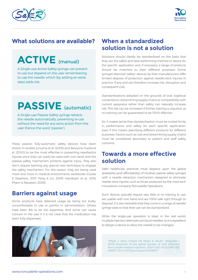



## **What solutions are available?**

## **ACTIVE** (manual)

A Single-use Active Safety syringe can prevent re-use but depend on the user remembering to cap the needle, which (by adding an extra step) adds risk.

## **PASSIVE** (automatic)

A Single-use Passive Safety syringe retracts the needle automatically, preventing re-use without the need for any extra action from the user (hence the word "passive").

These passive, fully-automatic safety devices have been shown in studies (Linuma et al. (2005) and Bausone-Gazda et al. (2010)) to be the most effective in preventing needlestick injuries since they can easily be used with one hand, and the passive safety mechanism protects against injury. They also don't require learning any special new technique to engage the safety mechanism. For this reason, they are being used more and more in medical environments worldwide (Cooke & Stephens, 2017; Feng & Liu, 2009; Handiyani et al., 2018; Pham & Neustein, 2009).

## **Barriers against usage**

Some products have deterred usage by being too bulky, uncomfortable to use or painful in administration. Others have been felt to be too expensive. And some can cause concern in the user if it is not clear that the medication has been fully dispensed.



## **When a standardized solution is not a solution**

Solutions should ideally be standardized on the basis that they are the safest and best-performing method or device for the specific application and, if necessary, a range of products should be matched to their different purposes. Some syringes deemed "safety" devices by their manufacturers offer limited degrees of protection against needle-stick injuries in practice, if any and can therefore increase risk, disruption and consequent cost.

Standardizations adopted on the grounds of cost, logistical convenience, streamlining supply chains or compatibility with current apparatus rather than safety can naturally increase risk. This risk can be increased if further training is required, as no training can be guaranteed to be 100% effective.

So, it makes sense that standardization must be rooted firmly in performance and safety for each specific application, even if this means specifying different products for different purposes. Factors such as cost and streamlining supply chains must be considered secondary to patient and staff safety concerns.

## **Towards a more effective solution**

Safer healthcare practices must depend upon the global availability (and affordability) of intuitive, passive safety syringes with a needle retraction mechanism designed to eliminate needle-stick injuries, such as those produced by the med-tech innovations company Roncadelle Operations.

Such devices typically require very little or no training to use, are usable with one hand and are 100% safe right through to disposal. It is also desirable that they come in a range of needle/ syringe sizes so that their use can be standardized.

While the single-use operation is ideal, in the real world, multiple injection attempts can blunt needles, so it is expedient to design a device to allow the needle to be changed.

<sup>16</sup>Pépin J, Abou Chakra CN, Pépin E, Naulty, Valiquette L (2014) Evolution of the global burden of viral infections from unsafe medical injections, 2000-2010. PLoS ONE 9(6): e99677. Doi: 10.1371/journal.pone.0099677.